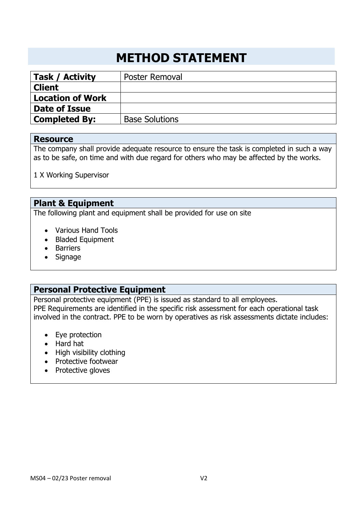# **METHOD STATEMENT**

| Task / Activity         | <b>Poster Removal</b> |
|-------------------------|-----------------------|
| <b>Client</b>           |                       |
| <b>Location of Work</b> |                       |
| Date of Issue           |                       |
| <b>Completed By:</b>    | <b>Base Solutions</b> |

#### **Resource**

The company shall provide adequate resource to ensure the task is completed in such a way as to be safe, on time and with due regard for others who may be affected by the works.

1 X Working Supervisor

## **Plant & Equipment**

The following plant and equipment shall be provided for use on site

- Various Hand Tools
- Bladed Equipment
- Barriers
- Signage

#### **Personal Protective Equipment**

Personal protective equipment (PPE) is issued as standard to all employees. PPE Requirements are identified in the specific risk assessment for each operational task involved in the contract. PPE to be worn by operatives as risk assessments dictate includes:

- Eye protection
- Hard hat
- High visibility clothing
- Protective footwear
- Protective gloves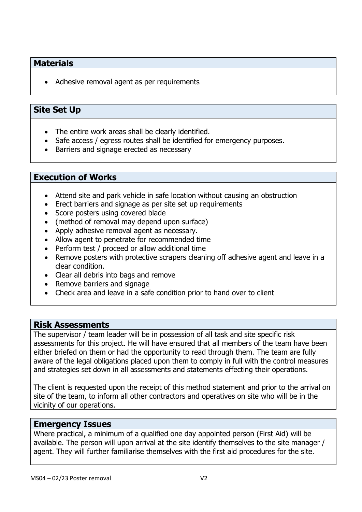### **Materials**

• Adhesive removal agent as per requirements

## **Site Set Up**

- The entire work areas shall be clearly identified.
- Safe access / egress routes shall be identified for emergency purposes.
- Barriers and signage erected as necessary

#### **Execution of Works**

- Attend site and park vehicle in safe location without causing an obstruction
- Erect barriers and signage as per site set up requirements
- Score posters using covered blade
- (method of removal may depend upon surface)
- Apply adhesive removal agent as necessary.
- Allow agent to penetrate for recommended time
- Perform test / proceed or allow additional time
- Remove posters with protective scrapers cleaning off adhesive agent and leave in a clear condition.
- Clear all debris into bags and remove
- Remove barriers and signage
- Check area and leave in a safe condition prior to hand over to client

#### **Risk Assessments**

The supervisor / team leader will be in possession of all task and site specific risk assessments for this project. He will have ensured that all members of the team have been either briefed on them or had the opportunity to read through them. The team are fully aware of the legal obligations placed upon them to comply in full with the control measures and strategies set down in all assessments and statements effecting their operations.

The client is requested upon the receipt of this method statement and prior to the arrival on site of the team, to inform all other contractors and operatives on site who will be in the vicinity of our operations.

#### **Emergency Issues**

Where practical, a minimum of a qualified one day appointed person (First Aid) will be available. The person will upon arrival at the site identify themselves to the site manager / agent. They will further familiarise themselves with the first aid procedures for the site.